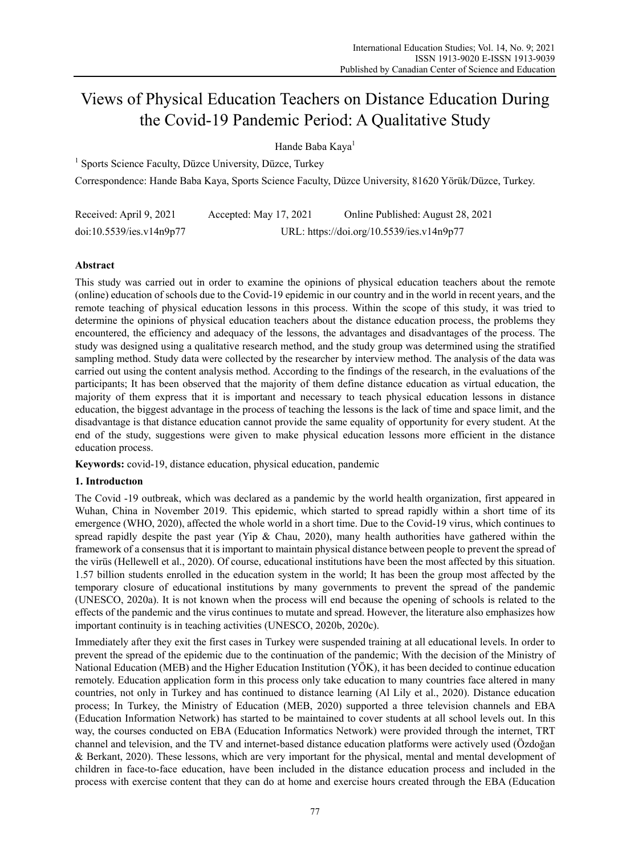# Views of Physical Education Teachers on Distance Education During the Covid-19 Pandemic Period: A Qualitative Study

Hande Baba Kaya<sup>1</sup>

<sup>1</sup> Sports Science Faculty, Düzce University, Düzce, Turkey

Correspondence: Hande Baba Kaya, Sports Science Faculty, Düzce University, 81620 Yörük/Düzce, Turkey.

| Received: April 9, 2021  | Accepted: May 17, 2021 | Online Published: August 28, 2021         |
|--------------------------|------------------------|-------------------------------------------|
| doi:10.5539/ies.v14n9p77 |                        | URL: https://doi.org/10.5539/ies.v14n9p77 |

# **Abstract**

This study was carried out in order to examine the opinions of physical education teachers about the remote (online) education of schools due to the Covid-19 epidemic in our country and in the world in recent years, and the remote teaching of physical education lessons in this process. Within the scope of this study, it was tried to determine the opinions of physical education teachers about the distance education process, the problems they encountered, the efficiency and adequacy of the lessons, the advantages and disadvantages of the process. The study was designed using a qualitative research method, and the study group was determined using the stratified sampling method. Study data were collected by the researcher by interview method. The analysis of the data was carried out using the content analysis method. According to the findings of the research, in the evaluations of the participants; It has been observed that the majority of them define distance education as virtual education, the majority of them express that it is important and necessary to teach physical education lessons in distance education, the biggest advantage in the process of teaching the lessons is the lack of time and space limit, and the disadvantage is that distance education cannot provide the same equality of opportunity for every student. At the end of the study, suggestions were given to make physical education lessons more efficient in the distance education process.

**Keywords:** covid-19, distance education, physical education, pandemic

# **1. Introductıon**

The Covid -19 outbreak, which was declared as a pandemic by the world health organization, first appeared in Wuhan, China in November 2019. This epidemic, which started to spread rapidly within a short time of its emergence (WHO, 2020), affected the whole world in a short time. Due to the Covid-19 virus, which continues to spread rapidly despite the past year (Yip & Chau, 2020), many health authorities have gathered within the framework of a consensus that it is important to maintain physical distance between people to prevent the spread of the virüs (Hellewell et al., 2020). Of course, educational institutions have been the most affected by this situation. 1.57 billion students enrolled in the education system in the world; It has been the group most affected by the temporary closure of educational institutions by many governments to prevent the spread of the pandemic (UNESCO, 2020a). It is not known when the process will end because the opening of schools is related to the effects of the pandemic and the virus continues to mutate and spread. However, the literature also emphasizes how important continuity is in teaching activities (UNESCO, 2020b, 2020c).

Immediately after they exit the first cases in Turkey were suspended training at all educational levels. In order to prevent the spread of the epidemic due to the continuation of the pandemic; With the decision of the Ministry of National Education (MEB) and the Higher Education Institution (YÖK), it has been decided to continue education remotely. Education application form in this process only take education to many countries face altered in many countries, not only in Turkey and has continued to distance learning (Al Lily et al., 2020). Distance education process; In Turkey, the Ministry of Education (MEB, 2020) supported a three television channels and EBA (Education Information Network) has started to be maintained to cover students at all school levels out. In this way, the courses conducted on EBA (Education Informatics Network) were provided through the internet, TRT channel and television, and the TV and internet-based distance education platforms were actively used (Özdoğan & Berkant, 2020). These lessons, which are very important for the physical, mental and mental development of children in face-to-face education, have been included in the distance education process and included in the process with exercise content that they can do at home and exercise hours created through the EBA (Education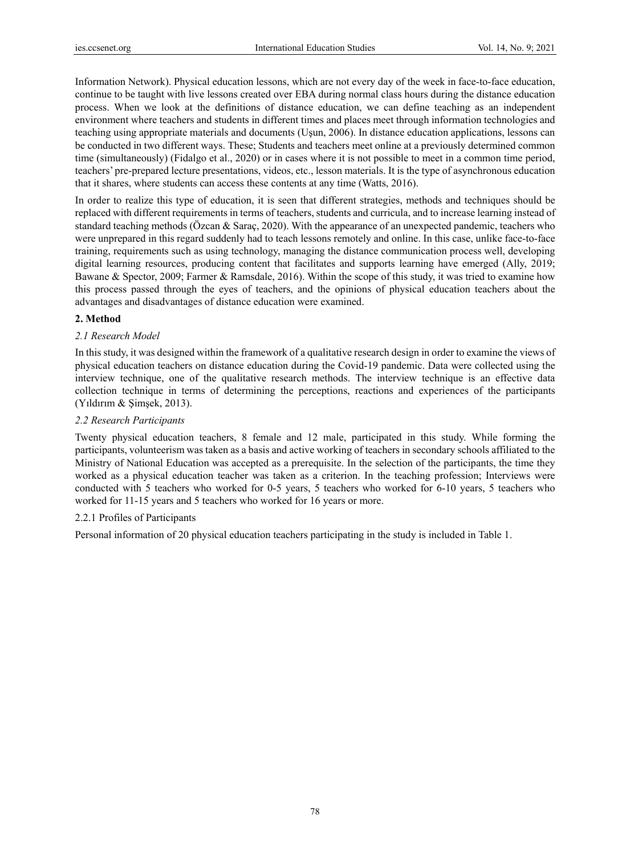Information Network). Physical education lessons, which are not every day of the week in face-to-face education, continue to be taught with live lessons created over EBA during normal class hours during the distance education process. When we look at the definitions of distance education, we can define teaching as an independent environment where teachers and students in different times and places meet through information technologies and teaching using appropriate materials and documents (Uşun, 2006). In distance education applications, lessons can be conducted in two different ways. These; Students and teachers meet online at a previously determined common time (simultaneously) (Fidalgo et al., 2020) or in cases where it is not possible to meet in a common time period, teachers' pre-prepared lecture presentations, videos, etc., lesson materials. It is the type of asynchronous education that it shares, where students can access these contents at any time (Watts, 2016).

In order to realize this type of education, it is seen that different strategies, methods and techniques should be replaced with different requirements in terms of teachers, students and curricula, and to increase learning instead of standard teaching methods (Özcan & Saraç, 2020). With the appearance of an unexpected pandemic, teachers who were unprepared in this regard suddenly had to teach lessons remotely and online. In this case, unlike face-to-face training, requirements such as using technology, managing the distance communication process well, developing digital learning resources, producing content that facilitates and supports learning have emerged (Ally, 2019; Bawane & Spector, 2009; Farmer & Ramsdale, 2016). Within the scope of this study, it was tried to examine how this process passed through the eyes of teachers, and the opinions of physical education teachers about the advantages and disadvantages of distance education were examined.

#### **2. Method**

### *2.1 Research Model*

In this study, it was designed within the framework of a qualitative research design in order to examine the views of physical education teachers on distance education during the Covid-19 pandemic. Data were collected using the interview technique, one of the qualitative research methods. The interview technique is an effective data collection technique in terms of determining the perceptions, reactions and experiences of the participants (Yıldırım & Şimşek, 2013).

### *2.2 Research Participants*

Twenty physical education teachers, 8 female and 12 male, participated in this study. While forming the participants, volunteerism was taken as a basis and active working of teachers in secondary schools affiliated to the Ministry of National Education was accepted as a prerequisite. In the selection of the participants, the time they worked as a physical education teacher was taken as a criterion. In the teaching profession; Interviews were conducted with 5 teachers who worked for 0-5 years, 5 teachers who worked for 6-10 years, 5 teachers who worked for 11-15 years and 5 teachers who worked for 16 years or more.

# 2.2.1 Profiles of Participants

Personal information of 20 physical education teachers participating in the study is included in Table 1.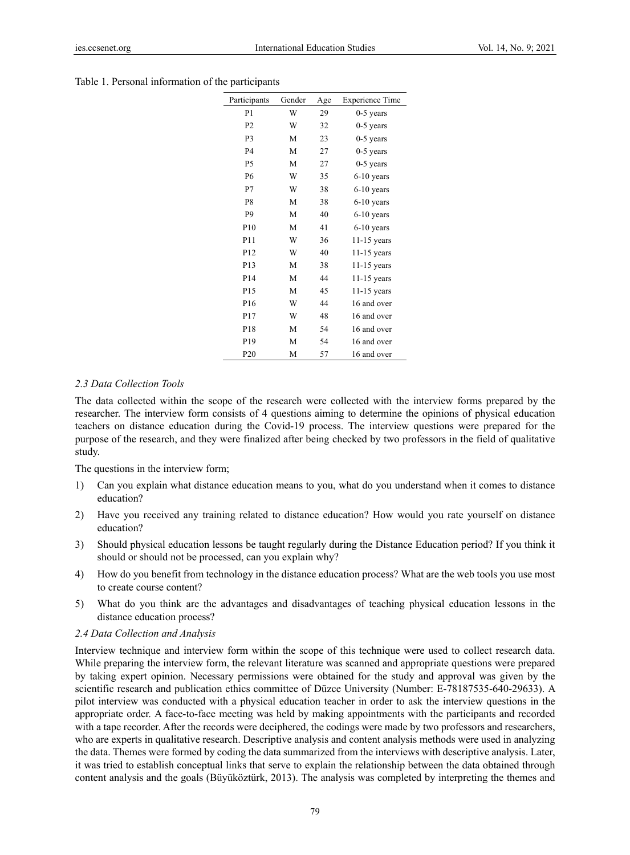| Table 1. Personal information of the participants |  |  |  |
|---------------------------------------------------|--|--|--|
|---------------------------------------------------|--|--|--|

| Participants    | Gender | Age | <b>Experience Time</b> |
|-----------------|--------|-----|------------------------|
| P <sub>1</sub>  | W      | 29  | $0-5$ years            |
| P <sub>2</sub>  | W      | 32  | $0-5$ years            |
| P <sub>3</sub>  | M      | 23  | $0-5$ years            |
| P <sub>4</sub>  | M      | 27  | $0-5$ years            |
| <b>P5</b>       | M      | 27  | $0-5$ years            |
| <b>P6</b>       | W      | 35  | $6-10$ years           |
| P7              | W      | 38  | $6-10$ years           |
| P <sub>8</sub>  | M      | 38  | $6-10$ years           |
| P <sub>9</sub>  | M      | 40  | $6-10$ years           |
| P <sub>10</sub> | M      | 41  | $6-10$ years           |
| P11             | W      | 36  | $11-15$ years          |
| P <sub>12</sub> | W      | 40  | $11-15$ years          |
| P <sub>13</sub> | M      | 38  | $11-15$ years          |
| P <sub>14</sub> | M      | 44  | $11-15$ years          |
| P <sub>15</sub> | M      | 45  | $11-15$ years          |
| P <sub>16</sub> | W      | 44  | 16 and over            |
| P17             | W      | 48  | 16 and over            |
| P <sub>18</sub> | M      | 54  | 16 and over            |
| P <sub>19</sub> | M      | 54  | 16 and over            |
| P <sub>20</sub> | M      | 57  | 16 and over            |
|                 |        |     |                        |

### *2.3 Data Collection Tools*

The data collected within the scope of the research were collected with the interview forms prepared by the researcher. The interview form consists of 4 questions aiming to determine the opinions of physical education teachers on distance education during the Covid-19 process. The interview questions were prepared for the purpose of the research, and they were finalized after being checked by two professors in the field of qualitative study.

The questions in the interview form;

- 1) Can you explain what distance education means to you, what do you understand when it comes to distance education?
- 2) Have you received any training related to distance education? How would you rate yourself on distance education?
- 3) Should physical education lessons be taught regularly during the Distance Education period? If you think it should or should not be processed, can you explain why?
- 4) How do you benefit from technology in the distance education process? What are the web tools you use most to create course content?
- 5) What do you think are the advantages and disadvantages of teaching physical education lessons in the distance education process?

#### *2.4 Data Collection and Analysis*

Interview technique and interview form within the scope of this technique were used to collect research data. While preparing the interview form, the relevant literature was scanned and appropriate questions were prepared by taking expert opinion. Necessary permissions were obtained for the study and approval was given by the scientific research and publication ethics committee of Düzce University (Number: E-78187535-640-29633). A pilot interview was conducted with a physical education teacher in order to ask the interview questions in the appropriate order. A face-to-face meeting was held by making appointments with the participants and recorded with a tape recorder. After the records were deciphered, the codings were made by two professors and researchers, who are experts in qualitative research. Descriptive analysis and content analysis methods were used in analyzing the data. Themes were formed by coding the data summarized from the interviews with descriptive analysis. Later, it was tried to establish conceptual links that serve to explain the relationship between the data obtained through content analysis and the goals (Büyüköztürk, 2013). The analysis was completed by interpreting the themes and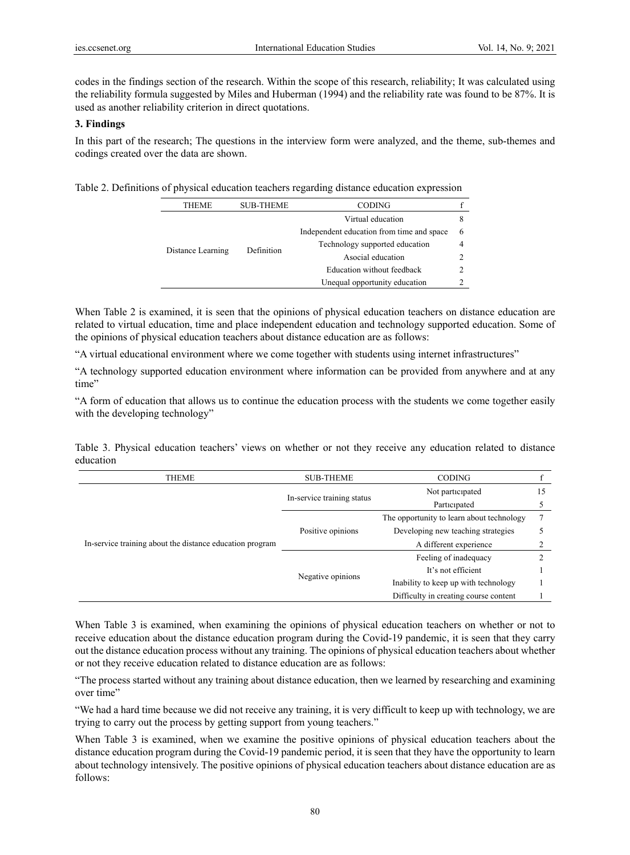codes in the findings section of the research. Within the scope of this research, reliability; It was calculated using the reliability formula suggested by Miles and Huberman (1994) and the reliability rate was found to be 87%. It is used as another reliability criterion in direct quotations.

# **3. Findings**

In this part of the research; The questions in the interview form were analyzed, and the theme, sub-themes and codings created over the data are shown.

Table 2. Definitions of physical education teachers regarding distance education expression

| THEME             | <b>SUB-THEME</b> | <b>CODING</b>                             |   |
|-------------------|------------------|-------------------------------------------|---|
| Distance Learning | Definition       | Virtual education                         | x |
|                   |                  | Independent education from time and space | 6 |
|                   |                  | Technology supported education            |   |
|                   |                  | Asocial education                         |   |
|                   |                  | Education without feedback                |   |
|                   |                  | Unequal opportunity education             |   |

When Table 2 is examined, it is seen that the opinions of physical education teachers on distance education are related to virtual education, time and place independent education and technology supported education. Some of the opinions of physical education teachers about distance education are as follows:

"A virtual educational environment where we come together with students using internet infrastructures"

"A technology supported education environment where information can be provided from anywhere and at any time"

"A form of education that allows us to continue the education process with the students we come together easily with the developing technology"

Table 3. Physical education teachers' views on whether or not they receive any education related to distance education

| THEME                                                    | <b>SUB-THEME</b>           | <b>CODING</b>                             |    |
|----------------------------------------------------------|----------------------------|-------------------------------------------|----|
|                                                          | In-service training status | Not participated                          | 15 |
|                                                          |                            | Participated                              |    |
|                                                          | Positive opinions          | The opportunity to learn about technology |    |
|                                                          |                            | Developing new teaching strategies        |    |
| In-service training about the distance education program |                            | A different experience                    |    |
|                                                          | Negative opinions          | Feeling of inadequacy                     |    |
|                                                          |                            | It's not efficient                        |    |
|                                                          |                            | Inability to keep up with technology      |    |
|                                                          |                            | Difficulty in creating course content     |    |

When Table 3 is examined, when examining the opinions of physical education teachers on whether or not to receive education about the distance education program during the Covid-19 pandemic, it is seen that they carry out the distance education process without any training. The opinions of physical education teachers about whether or not they receive education related to distance education are as follows:

"The process started without any training about distance education, then we learned by researching and examining over time"

"We had a hard time because we did not receive any training, it is very difficult to keep up with technology, we are trying to carry out the process by getting support from young teachers."

When Table 3 is examined, when we examine the positive opinions of physical education teachers about the distance education program during the Covid-19 pandemic period, it is seen that they have the opportunity to learn about technology intensively. The positive opinions of physical education teachers about distance education are as follows: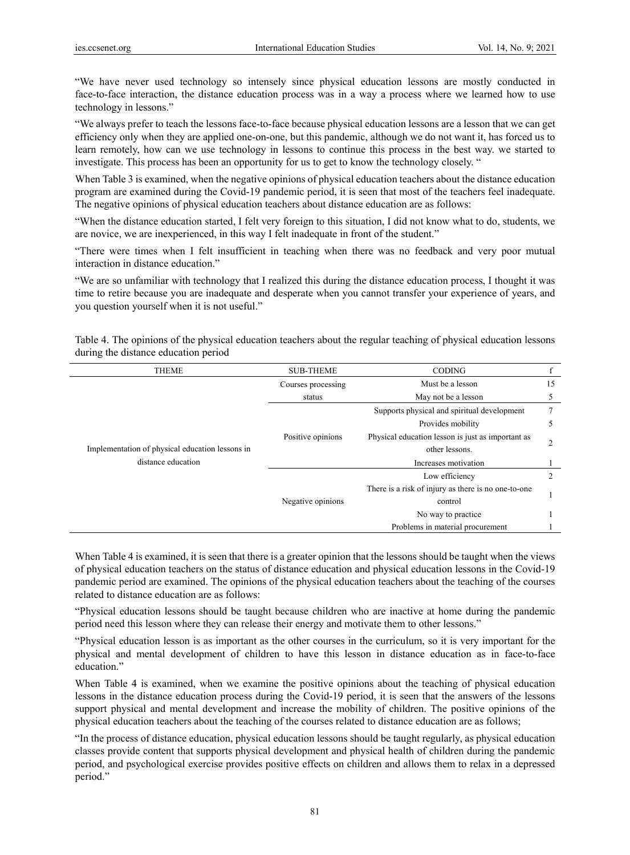"We have never used technology so intensely since physical education lessons are mostly conducted in face-to-face interaction, the distance education process was in a way a process where we learned how to use technology in lessons."

"We always prefer to teach the lessons face-to-face because physical education lessons are a lesson that we can get efficiency only when they are applied one-on-one, but this pandemic, although we do not want it, has forced us to learn remotely, how can we use technology in lessons to continue this process in the best way. we started to investigate. This process has been an opportunity for us to get to know the technology closely. "

When Table 3 is examined, when the negative opinions of physical education teachers about the distance education program are examined during the Covid-19 pandemic period, it is seen that most of the teachers feel inadequate. The negative opinions of physical education teachers about distance education are as follows:

"When the distance education started, I felt very foreign to this situation, I did not know what to do, students, we are novice, we are inexperienced, in this way I felt inadequate in front of the student."

"There were times when I felt insufficient in teaching when there was no feedback and very poor mutual interaction in distance education."

"We are so unfamiliar with technology that I realized this during the distance education process, I thought it was time to retire because you are inadequate and desperate when you cannot transfer your experience of years, and you question yourself when it is not useful."

Table 4. The opinions of the physical education teachers about the regular teaching of physical education lessons during the distance education period

| <b>THEME</b>                                    | <b>SUB-THEME</b>   | <b>CODING</b>                                       |    |
|-------------------------------------------------|--------------------|-----------------------------------------------------|----|
|                                                 | Courses processing | Must be a lesson                                    | 15 |
|                                                 | status             | May not be a lesson                                 | 5  |
|                                                 |                    | Supports physical and spiritual development         | 7  |
|                                                 | Positive opinions  | Provides mobility                                   | 5  |
|                                                 |                    | Physical education lesson is just as important as   | 2  |
| Implementation of physical education lessons in |                    | other lessons.                                      |    |
| distance education                              |                    | Increases motivation                                |    |
|                                                 | Negative opinions  | Low efficiency                                      | 2  |
|                                                 |                    | There is a risk of injury as there is no one-to-one |    |
|                                                 |                    | control                                             |    |
|                                                 |                    | No way to practice                                  |    |
|                                                 |                    | Problems in material procurement                    |    |

When Table 4 is examined, it is seen that there is a greater opinion that the lessons should be taught when the views of physical education teachers on the status of distance education and physical education lessons in the Covid-19 pandemic period are examined. The opinions of the physical education teachers about the teaching of the courses related to distance education are as follows:

"Physical education lessons should be taught because children who are inactive at home during the pandemic period need this lesson where they can release their energy and motivate them to other lessons."

"Physical education lesson is as important as the other courses in the curriculum, so it is very important for the physical and mental development of children to have this lesson in distance education as in face-to-face education."

When Table 4 is examined, when we examine the positive opinions about the teaching of physical education lessons in the distance education process during the Covid-19 period, it is seen that the answers of the lessons support physical and mental development and increase the mobility of children. The positive opinions of the physical education teachers about the teaching of the courses related to distance education are as follows;

"In the process of distance education, physical education lessons should be taught regularly, as physical education classes provide content that supports physical development and physical health of children during the pandemic period, and psychological exercise provides positive effects on children and allows them to relax in a depressed period."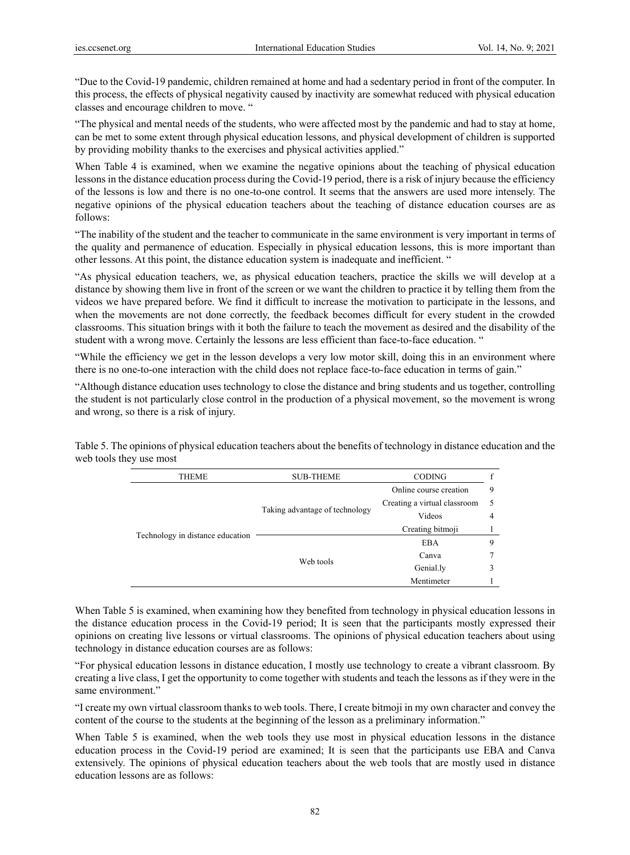"Due to the Covid-19 pandemic, children remained at home and had a sedentary period in front of the computer. In this process, the effects of physical negativity caused by inactivity are somewhat reduced with physical education classes and encourage children to move. "

"The physical and mental needs of the students, who were affected most by the pandemic and had to stay at home, can be met to some extent through physical education lessons, and physical development of children is supported by providing mobility thanks to the exercises and physical activities applied."

When Table 4 is examined, when we examine the negative opinions about the teaching of physical education lessons in the distance education process during the Covid-19 period, there is a risk of injury because the efficiency of the lessons is low and there is no one-to-one control. It seems that the answers are used more intensely. The negative opinions of the physical education teachers about the teaching of distance education courses are as follows:

"The inability of the student and the teacher to communicate in the same environment is very important in terms of the quality and permanence of education. Especially in physical education lessons, this is more important than other lessons. At this point, the distance education system is inadequate and inefficient. "

"As physical education teachers, we, as physical education teachers, practice the skills we will develop at a distance by showing them live in front of the screen or we want the children to practice it by telling them from the videos we have prepared before. We find it difficult to increase the motivation to participate in the lessons, and when the movements are not done correctly, the feedback becomes difficult for every student in the crowded classrooms. This situation brings with it both the failure to teach the movement as desired and the disability of the student with a wrong move. Certainly the lessons are less efficient than face-to-face education. "

"While the efficiency we get in the lesson develops a very low motor skill, doing this in an environment where there is no one-to-one interaction with the child does not replace face-to-face education in terms of gain."

"Although distance education uses technology to close the distance and bring students and us together, controlling the student is not particularly close control in the production of a physical movement, so the movement is wrong and wrong, so there is a risk of injury.

| <b>THEME</b>                     | <b>SUB-THEME</b>               | <b>CODING</b>                |   |
|----------------------------------|--------------------------------|------------------------------|---|
|                                  |                                | Online course creation       | 9 |
|                                  | Taking advantage of technology | Creating a virtual classroom | 5 |
|                                  |                                | Videos                       | 4 |
|                                  |                                | Creating bitmoji             |   |
| Technology in distance education | Web tools                      | <b>EBA</b>                   | Q |
|                                  |                                | Canva                        |   |
|                                  |                                | Genial.ly                    |   |
|                                  |                                | Mentimeter                   |   |

Table 5. The opinions of physical education teachers about the benefits of technology in distance education and the web tools they use most

When Table 5 is examined, when examining how they benefited from technology in physical education lessons in the distance education process in the Covid-19 period; It is seen that the participants mostly expressed their opinions on creating live lessons or virtual classrooms. The opinions of physical education teachers about using technology in distance education courses are as follows:

"For physical education lessons in distance education, I mostly use technology to create a vibrant classroom. By creating a live class, I get the opportunity to come together with students and teach the lessons as if they were in the same environment."

"I create my own virtual classroom thanks to web tools. There, I create bitmoji in my own character and convey the content of the course to the students at the beginning of the lesson as a preliminary information."

When Table 5 is examined, when the web tools they use most in physical education lessons in the distance education process in the Covid-19 period are examined; It is seen that the participants use EBA and Canva extensively. The opinions of physical education teachers about the web tools that are mostly used in distance education lessons are as follows: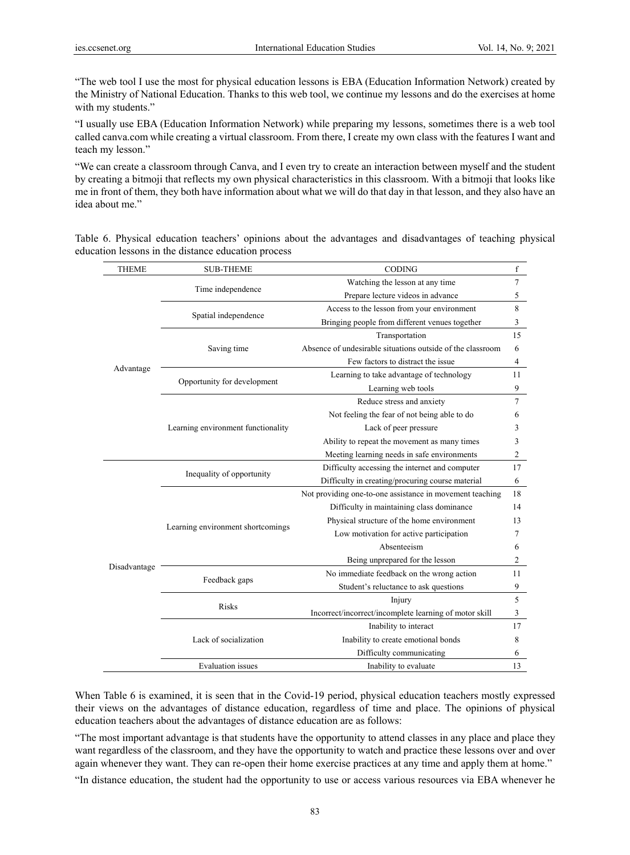"The web tool I use the most for physical education lessons is EBA (Education Information Network) created by the Ministry of National Education. Thanks to this web tool, we continue my lessons and do the exercises at home with my students."

"I usually use EBA (Education Information Network) while preparing my lessons, sometimes there is a web tool called canva.com while creating a virtual classroom. From there, I create my own class with the features I want and teach my lesson."

"We can create a classroom through Canva, and I even try to create an interaction between myself and the student by creating a bitmoji that reflects my own physical characteristics in this classroom. With a bitmoji that looks like me in front of them, they both have information about what we will do that day in that lesson, and they also have an idea about me."

Table 6. Physical education teachers' opinions about the advantages and disadvantages of teaching physical education lessons in the distance education process

| <b>THEME</b> | <b>SUB-THEME</b>                   | CODING                                                     | $\mathbf f$    |
|--------------|------------------------------------|------------------------------------------------------------|----------------|
|              |                                    | Watching the lesson at any time                            | $\overline{7}$ |
|              | Time independence                  | Prepare lecture videos in advance                          | 5              |
|              | Spatial independence               | Access to the lesson from your environment                 | 8              |
|              |                                    | Bringing people from different venues together             | 3              |
|              |                                    | Transportation                                             | 15             |
|              | Saving time                        | Absence of undesirable situations outside of the classroom | 6              |
|              |                                    | Few factors to distract the issue                          | 4              |
| Advantage    | Opportunity for development        | Learning to take advantage of technology                   | 11             |
|              |                                    | Learning web tools                                         | 9              |
|              |                                    | Reduce stress and anxiety                                  | 7              |
|              |                                    | Not feeling the fear of not being able to do               | 6              |
|              | Learning environment functionality | Lack of peer pressure                                      | 3              |
|              |                                    | Ability to repeat the movement as many times               | 3              |
|              |                                    | Meeting learning needs in safe environments                | 2              |
|              | Inequality of opportunity          | Difficulty accessing the internet and computer             | 17             |
|              |                                    | Difficulty in creating/procuring course material           | 6              |
|              |                                    | Not providing one-to-one assistance in movement teaching   | 18             |
|              |                                    | Difficulty in maintaining class dominance                  | 14             |
|              | Learning environment shortcomings  | Physical structure of the home environment                 | 13             |
|              |                                    | Low motivation for active participation                    | 7              |
|              |                                    | Absenteeism                                                | 6              |
| Disadvantage |                                    | Being unprepared for the lesson                            | 2              |
|              | Feedback gaps                      | No immediate feedback on the wrong action                  | 11             |
|              |                                    | Student's reluctance to ask questions                      | 9              |
|              | <b>Risks</b>                       | Injury                                                     | 5              |
|              |                                    | Incorrect/incorrect/incomplete learning of motor skill     | 3              |
|              |                                    | Inability to interact                                      | 17             |
|              | Lack of socialization              | Inability to create emotional bonds                        | 8              |
|              |                                    | Difficulty communicating                                   | 6              |
|              | <b>Evaluation</b> issues           | Inability to evaluate                                      | 13             |

When Table 6 is examined, it is seen that in the Covid-19 period, physical education teachers mostly expressed their views on the advantages of distance education, regardless of time and place. The opinions of physical education teachers about the advantages of distance education are as follows:

"The most important advantage is that students have the opportunity to attend classes in any place and place they want regardless of the classroom, and they have the opportunity to watch and practice these lessons over and over again whenever they want. They can re-open their home exercise practices at any time and apply them at home."

"In distance education, the student had the opportunity to use or access various resources via EBA whenever he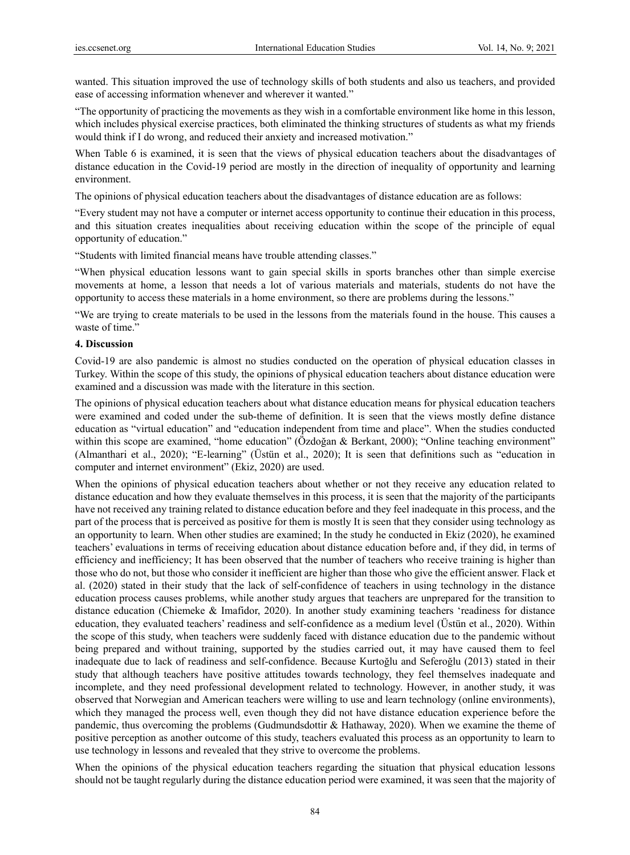wanted. This situation improved the use of technology skills of both students and also us teachers, and provided ease of accessing information whenever and wherever it wanted."

"The opportunity of practicing the movements as they wish in a comfortable environment like home in this lesson, which includes physical exercise practices, both eliminated the thinking structures of students as what my friends would think if I do wrong, and reduced their anxiety and increased motivation."

When Table 6 is examined, it is seen that the views of physical education teachers about the disadvantages of distance education in the Covid-19 period are mostly in the direction of inequality of opportunity and learning environment.

The opinions of physical education teachers about the disadvantages of distance education are as follows:

"Every student may not have a computer or internet access opportunity to continue their education in this process, and this situation creates inequalities about receiving education within the scope of the principle of equal opportunity of education."

"Students with limited financial means have trouble attending classes."

"When physical education lessons want to gain special skills in sports branches other than simple exercise movements at home, a lesson that needs a lot of various materials and materials, students do not have the opportunity to access these materials in a home environment, so there are problems during the lessons."

"We are trying to create materials to be used in the lessons from the materials found in the house. This causes a waste of time."

#### **4. Discussion**

Covid-19 are also pandemic is almost no studies conducted on the operation of physical education classes in Turkey. Within the scope of this study, the opinions of physical education teachers about distance education were examined and a discussion was made with the literature in this section.

The opinions of physical education teachers about what distance education means for physical education teachers were examined and coded under the sub-theme of definition. It is seen that the views mostly define distance education as "virtual education" and "education independent from time and place". When the studies conducted within this scope are examined, "home education" (Özdoğan & Berkant, 2000); "Online teaching environment" (Almanthari et al., 2020); "E-learning" (Üstün et al., 2020); It is seen that definitions such as "education in computer and internet environment" (Ekiz, 2020) are used.

When the opinions of physical education teachers about whether or not they receive any education related to distance education and how they evaluate themselves in this process, it is seen that the majority of the participants have not received any training related to distance education before and they feel inadequate in this process, and the part of the process that is perceived as positive for them is mostly It is seen that they consider using technology as an opportunity to learn. When other studies are examined; In the study he conducted in Ekiz (2020), he examined teachers' evaluations in terms of receiving education about distance education before and, if they did, in terms of efficiency and inefficiency; It has been observed that the number of teachers who receive training is higher than those who do not, but those who consider it inefficient are higher than those who give the efficient answer. Flack et al. (2020) stated in their study that the lack of self-confidence of teachers in using technology in the distance education process causes problems, while another study argues that teachers are unprepared for the transition to distance education (Chiemeke & Imafidor, 2020). In another study examining teachers 'readiness for distance education, they evaluated teachers' readiness and self-confidence as a medium level (Üstün et al., 2020). Within the scope of this study, when teachers were suddenly faced with distance education due to the pandemic without being prepared and without training, supported by the studies carried out, it may have caused them to feel inadequate due to lack of readiness and self-confidence. Because Kurtoğlu and Seferoğlu (2013) stated in their study that although teachers have positive attitudes towards technology, they feel themselves inadequate and incomplete, and they need professional development related to technology. However, in another study, it was observed that Norwegian and American teachers were willing to use and learn technology (online environments), which they managed the process well, even though they did not have distance education experience before the pandemic, thus overcoming the problems (Gudmundsdottir & Hathaway, 2020). When we examine the theme of positive perception as another outcome of this study, teachers evaluated this process as an opportunity to learn to use technology in lessons and revealed that they strive to overcome the problems.

When the opinions of the physical education teachers regarding the situation that physical education lessons should not be taught regularly during the distance education period were examined, it was seen that the majority of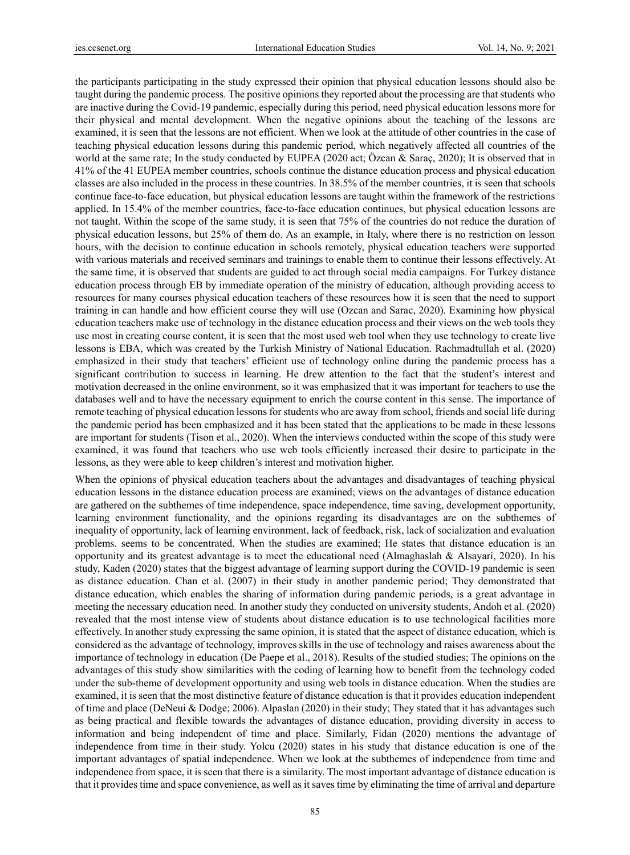the participants participating in the study expressed their opinion that physical education lessons should also be taught during the pandemic process. The positive opinions they reported about the processing are that students who are inactive during the Covid-19 pandemic, especially during this period, need physical education lessons more for their physical and mental development. When the negative opinions about the teaching of the lessons are examined, it is seen that the lessons are not efficient. When we look at the attitude of other countries in the case of teaching physical education lessons during this pandemic period, which negatively affected all countries of the world at the same rate; In the study conducted by EUPEA (2020 act; Özcan & Saraç, 2020); It is observed that in 41% of the 41 EUPEA member countries, schools continue the distance education process and physical education classes are also included in the process in these countries. In 38.5% of the member countries, it is seen that schools continue face-to-face education, but physical education lessons are taught within the framework of the restrictions applied. In 15.4% of the member countries, face-to-face education continues, but physical education lessons are not taught. Within the scope of the same study, it is seen that 75% of the countries do not reduce the duration of physical education lessons, but 25% of them do. As an example, in Italy, where there is no restriction on lesson hours, with the decision to continue education in schools remotely, physical education teachers were supported with various materials and received seminars and trainings to enable them to continue their lessons effectively. At the same time, it is observed that students are guided to act through social media campaigns. For Turkey distance education process through EB by immediate operation of the ministry of education, although providing access to resources for many courses physical education teachers of these resources how it is seen that the need to support training in can handle and how efficient course they will use (Ozcan and Sarac, 2020). Examining how physical education teachers make use of technology in the distance education process and their views on the web tools they use most in creating course content, it is seen that the most used web tool when they use technology to create live lessons is EBA, which was created by the Turkish Ministry of National Education. Rachmadtullah et al. (2020) emphasized in their study that teachers' efficient use of technology online during the pandemic process has a significant contribution to success in learning. He drew attention to the fact that the student's interest and motivation decreased in the online environment, so it was emphasized that it was important for teachers to use the databases well and to have the necessary equipment to enrich the course content in this sense. The importance of remote teaching of physical education lessons for students who are away from school, friends and social life during the pandemic period has been emphasized and it has been stated that the applications to be made in these lessons are important for students (Tison et al., 2020). When the interviews conducted within the scope of this study were examined, it was found that teachers who use web tools efficiently increased their desire to participate in the lessons, as they were able to keep children's interest and motivation higher.

When the opinions of physical education teachers about the advantages and disadvantages of teaching physical education lessons in the distance education process are examined; views on the advantages of distance education are gathered on the subthemes of time independence, space independence, time saving, development opportunity, learning environment functionality, and the opinions regarding its disadvantages are on the subthemes of inequality of opportunity, lack of learning environment, lack of feedback, risk, lack of socialization and evaluation problems. seems to be concentrated. When the studies are examined; He states that distance education is an opportunity and its greatest advantage is to meet the educational need (Almaghaslah & Alsayari, 2020). In his study, Kaden (2020) states that the biggest advantage of learning support during the COVID-19 pandemic is seen as distance education. Chan et al. (2007) in their study in another pandemic period; They demonstrated that distance education, which enables the sharing of information during pandemic periods, is a great advantage in meeting the necessary education need. In another study they conducted on university students, Andoh et al. (2020) revealed that the most intense view of students about distance education is to use technological facilities more effectively. In another study expressing the same opinion, it is stated that the aspect of distance education, which is considered as the advantage of technology, improves skills in the use of technology and raises awareness about the importance of technology in education (De Paepe et al., 2018). Results of the studied studies; The opinions on the advantages of this study show similarities with the coding of learning how to benefit from the technology coded under the sub-theme of development opportunity and using web tools in distance education. When the studies are examined, it is seen that the most distinctive feature of distance education is that it provides education independent of time and place (DeNeui & Dodge; 2006). Alpaslan (2020) in their study; They stated that it has advantages such as being practical and flexible towards the advantages of distance education, providing diversity in access to information and being independent of time and place. Similarly, Fidan (2020) mentions the advantage of independence from time in their study. Yolcu (2020) states in his study that distance education is one of the important advantages of spatial independence. When we look at the subthemes of independence from time and independence from space, it is seen that there is a similarity. The most important advantage of distance education is that it provides time and space convenience, as well as it saves time by eliminating the time of arrival and departure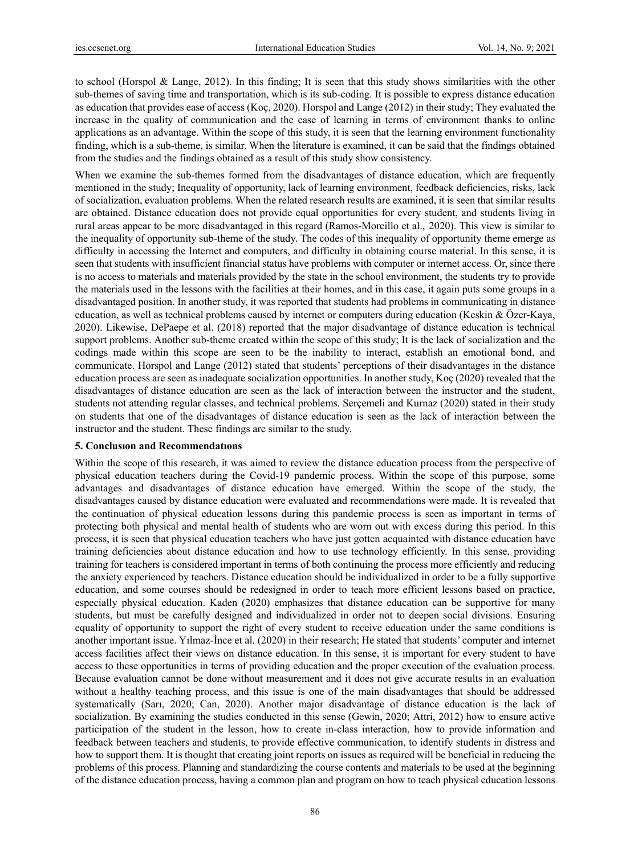to school (Horspol & Lange, 2012). In this finding; It is seen that this study shows similarities with the other sub-themes of saving time and transportation, which is its sub-coding. It is possible to express distance education as education that provides ease of access (Koç, 2020). Horspol and Lange (2012) in their study; They evaluated the increase in the quality of communication and the ease of learning in terms of environment thanks to online applications as an advantage. Within the scope of this study, it is seen that the learning environment functionality finding, which is a sub-theme, is similar. When the literature is examined, it can be said that the findings obtained from the studies and the findings obtained as a result of this study show consistency.

When we examine the sub-themes formed from the disadvantages of distance education, which are frequently mentioned in the study; Inequality of opportunity, lack of learning environment, feedback deficiencies, risks, lack of socialization, evaluation problems. When the related research results are examined, it is seen that similar results are obtained. Distance education does not provide equal opportunities for every student, and students living in rural areas appear to be more disadvantaged in this regard (Ramos-Morcillo et al., 2020). This view is similar to the inequality of opportunity sub-theme of the study. The codes of this inequality of opportunity theme emerge as difficulty in accessing the Internet and computers, and difficulty in obtaining course material. In this sense, it is seen that students with insufficient financial status have problems with computer or internet access. Or, since there is no access to materials and materials provided by the state in the school environment, the students try to provide the materials used in the lessons with the facilities at their homes, and in this case, it again puts some groups in a disadvantaged position. In another study, it was reported that students had problems in communicating in distance education, as well as technical problems caused by internet or computers during education (Keskin & Özer-Kaya, 2020). Likewise, DePaepe et al. (2018) reported that the major disadvantage of distance education is technical support problems. Another sub-theme created within the scope of this study; It is the lack of socialization and the codings made within this scope are seen to be the inability to interact, establish an emotional bond, and communicate. Horspol and Lange (2012) stated that students' perceptions of their disadvantages in the distance education process are seen as inadequate socialization opportunities. In another study, Koç (2020) revealed that the disadvantages of distance education are seen as the lack of interaction between the instructor and the student, students not attending regular classes, and technical problems. Serçemeli and Kurnaz (2020) stated in their study on students that one of the disadvantages of distance education is seen as the lack of interaction between the instructor and the student. These findings are similar to the study.

#### **5. Conclusıon and Recommendatıons**

Within the scope of this research, it was aimed to review the distance education process from the perspective of physical education teachers during the Covid-19 pandemic process. Within the scope of this purpose, some advantages and disadvantages of distance education have emerged. Within the scope of the study, the disadvantages caused by distance education were evaluated and recommendations were made. It is revealed that the continuation of physical education lessons during this pandemic process is seen as important in terms of protecting both physical and mental health of students who are worn out with excess during this period. In this process, it is seen that physical education teachers who have just gotten acquainted with distance education have training deficiencies about distance education and how to use technology efficiently. In this sense, providing training for teachers is considered important in terms of both continuing the process more efficiently and reducing the anxiety experienced by teachers. Distance education should be individualized in order to be a fully supportive education, and some courses should be redesigned in order to teach more efficient lessons based on practice, especially physical education. Kaden (2020) emphasizes that distance education can be supportive for many students, but must be carefully designed and individualized in order not to deepen social divisions. Ensuring equality of opportunity to support the right of every student to receive education under the same conditions is another important issue. Yılmaz-İnce et al. (2020) in their research; He stated that students' computer and internet access facilities affect their views on distance education. In this sense, it is important for every student to have access to these opportunities in terms of providing education and the proper execution of the evaluation process. Because evaluation cannot be done without measurement and it does not give accurate results in an evaluation without a healthy teaching process, and this issue is one of the main disadvantages that should be addressed systematically (Sarı, 2020; Can, 2020). Another major disadvantage of distance education is the lack of socialization. By examining the studies conducted in this sense (Gewin, 2020; Attri, 2012) how to ensure active participation of the student in the lesson, how to create in-class interaction, how to provide information and feedback between teachers and students, to provide effective communication, to identify students in distress and how to support them. It is thought that creating joint reports on issues as required will be beneficial in reducing the problems of this process. Planning and standardizing the course contents and materials to be used at the beginning of the distance education process, having a common plan and program on how to teach physical education lessons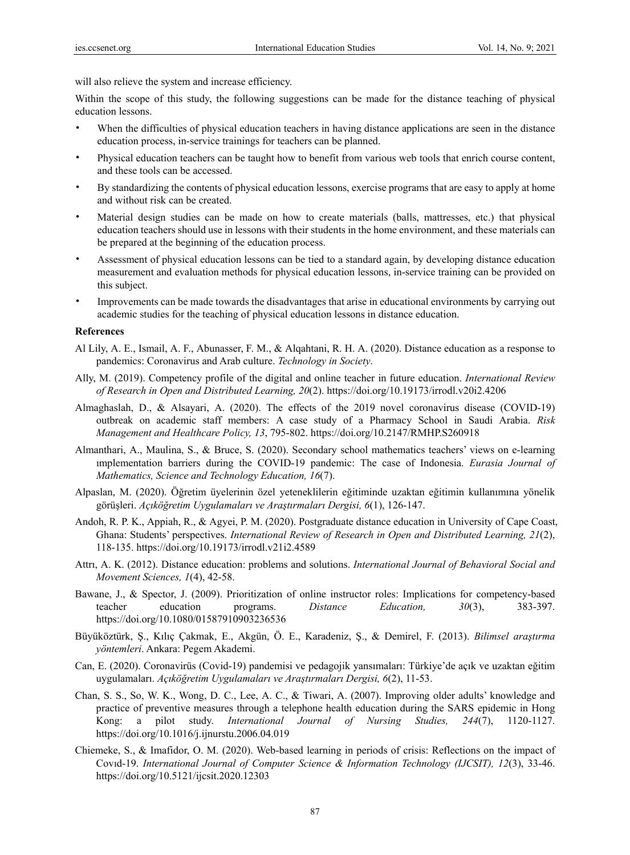will also relieve the system and increase efficiency.

Within the scope of this study, the following suggestions can be made for the distance teaching of physical education lessons.

- When the difficulties of physical education teachers in having distance applications are seen in the distance education process, in-service trainings for teachers can be planned.
- Physical education teachers can be taught how to benefit from various web tools that enrich course content, and these tools can be accessed.
- By standardizing the contents of physical education lessons, exercise programs that are easy to apply at home and without risk can be created.
- Material design studies can be made on how to create materials (balls, mattresses, etc.) that physical education teachers should use in lessons with their students in the home environment, and these materials can be prepared at the beginning of the education process.
- Assessment of physical education lessons can be tied to a standard again, by developing distance education measurement and evaluation methods for physical education lessons, in-service training can be provided on this subject.
- Improvements can be made towards the disadvantages that arise in educational environments by carrying out academic studies for the teaching of physical education lessons in distance education.

### **References**

- Al Lily, A. E., Ismail, A. F., Abunasser, F. M., & Alqahtani, R. H. A. (2020). Distance education as a response to pandemics: Coronavirus and Arab culture. *Technology in Society*.
- Ally, M. (2019). Competency profile of the digital and online teacher in future education. *International Review of Research in Open and Distributed Learning, 20*(2). https://doi.org/10.19173/irrodl.v20i2.4206
- Almaghaslah, D., & Alsayari, A. (2020). The effects of the 2019 novel coronavirus disease (COVID-19) outbreak on academic staff members: A case study of a Pharmacy School in Saudi Arabia. *Risk Management and Healthcare Policy, 13*, 795-802. https://doi.org/10.2147/RMHP.S260918
- Almanthari, A., Maulina, S., & Bruce, S. (2020). Secondary school mathematics teachers' views on e-learning ımplementation barriers during the COVID-19 pandemic: The case of Indonesia. *Eurasia Journal of Mathematics, Science and Technology Education, 16*(7).
- Alpaslan, M. (2020). Öğretim üyelerinin özel yeteneklilerin eğitiminde uzaktan eğitimin kullanımına yönelik görüşleri. *Açıköğretim Uygulamaları ve Araştırmaları Dergisi, 6*(1), 126-147.
- Andoh, R. P. K., Appiah, R., & Agyei, P. M. (2020). Postgraduate distance education in University of Cape Coast, Ghana: Students' perspectives. *International Review of Research in Open and Distributed Learning, 21*(2), 118-135. https://doi.org/10.19173/irrodl.v21i2.4589
- Attrı, A. K. (2012). Distance education: problems and solutions. *International Journal of Behavioral Social and Movement Sciences, 1*(4), 42-58.
- Bawane, J., & Spector, J. (2009). Prioritization of online instructor roles: Implications for competency-based teacher education programs. *Distance Education, 30*(3), 383-397. https://doi.org/10.1080/01587910903236536
- Büyüköztürk, Ş., Kılıç Çakmak, E., Akgün, Ö. E., Karadeniz, Ş., & Demirel, F. (2013). *Bilimsel araştırma yöntemleri*. Ankara: Pegem Akademi.
- Can, E. (2020). Coronavirüs (Covid-19) pandemisi ve pedagojik yansımaları: Türkiye'de açık ve uzaktan eğitim uygulamaları. *Açıköğretim Uygulamaları ve Araştırmaları Dergisi, 6*(2), 11-53.
- Chan, S. S., So, W. K., Wong, D. C., Lee, A. C., & Tiwari, A. (2007). Improving older adults' knowledge and practice of preventive measures through a telephone health education during the SARS epidemic in Hong Kong: a pilot study. *International Journal of Nursing Studies, 244*(7), 1120-1127. https://doi.org/10.1016/j.ijnurstu.2006.04.019
- Chiemeke, S., & Imafidor, O. M. (2020). Web-based learning in periods of crisis: Reflections on the impact of Covıd-19. *International Journal of Computer Science & Information Technology (IJCSIT), 12*(3), 33-46. https://doi.org/10.5121/ijcsit.2020.12303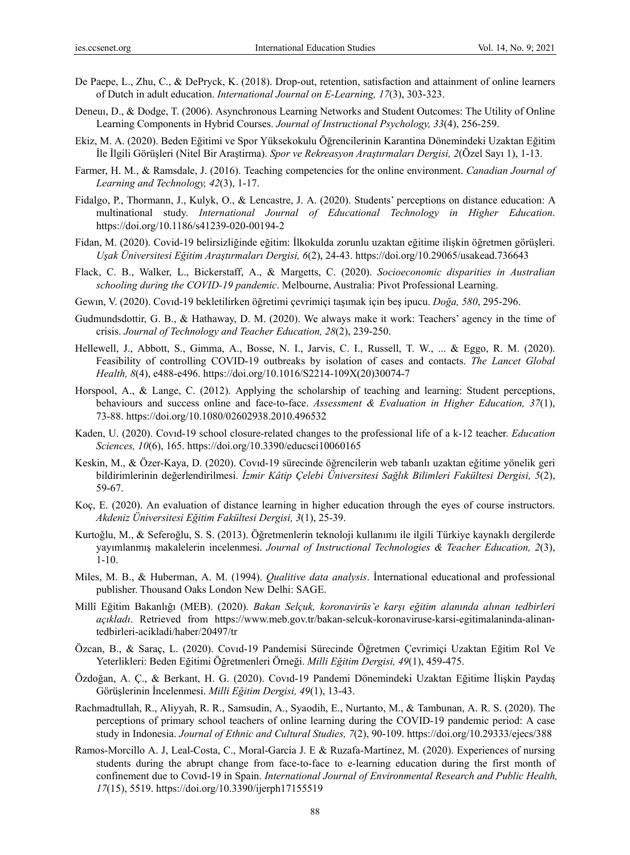- De Paepe, L., Zhu, C., & DePryck, K. (2018). Drop-out, retention, satisfaction and attainment of online learners of Dutch in adult education. *International Journal on E-Learning, 17*(3), 303-323.
- Deneuı, D., & Dodge, T. (2006). Asynchronous Learning Networks and Student Outcomes: The Utility of Online Learning Components in Hybrid Courses. *Journal of Instructional Psychology, 33*(4), 256-259.
- Ekiz, M. A. (2020). Beden Eğitimi ve Spor Yüksekokulu Öğrencilerinin Karantina Dönemindeki Uzaktan Eğitim İle İlgili Görüşleri (Nitel Bir Araştirma). *Spor ve Rekreasyon Araştırmaları Dergisi, 2*(Özel Sayı 1), 1-13.
- Farmer, H. M., & Ramsdale, J. (2016). Teaching competencies for the online environment. *Canadian Journal of Learning and Technology, 42*(3), 1-17.
- Fidalgo, P., Thormann, J., Kulyk, O., & Lencastre, J. A. (2020). Students' perceptions on distance education: A multinational study. *International Journal of Educational Technology in Higher Education*. https://doi.org/10.1186/s41239-020-00194-2
- Fidan, M. (2020). Covid-19 belirsizliğinde eğitim: İlkokulda zorunlu uzaktan eğitime ilişkin öğretmen görüşleri. *Uşak Üniversitesi Eğitim Araştırmaları Dergisi, 6*(2), 24-43. https://doi.org/10.29065/usakead.736643
- Flack, C. B., Walker, L., Bickerstaff, A., & Margetts, C. (2020). *Socioeconomic disparities in Australian schooling during the COVID-19 pandemic*. Melbourne, Australia: Pivot Professional Learning.
- Gewın, V. (2020). Covıd-19 bekletilirken öğretimi çevrimiçi taşımak için beş ipucu. *Doğa, 580*, 295-296.
- Gudmundsdottir, G. B., & Hathaway, D. M. (2020). We always make it work: Teachers' agency in the time of crisis. *Journal of Technology and Teacher Education, 28*(2), 239-250.
- Hellewell, J., Abbott, S., Gimma, A., Bosse, N. I., Jarvis, C. I., Russell, T. W., ... & Eggo, R. M. (2020). Feasibility of controlling COVID-19 outbreaks by isolation of cases and contacts. *The Lancet Global Health, 8*(4), e488-e496. https://doi.org/10.1016/S2214-109X(20)30074-7
- Horspool, A., & Lange, C. (2012). Applying the scholarship of teaching and learning: Student perceptions, behaviours and success online and face-to-face. *Assessment & Evaluation in Higher Education, 37*(1), 73-88. https://doi.org/10.1080/02602938.2010.496532
- Kaden, U. (2020). Covıd-19 school closure-related changes to the professional life of a k-12 teacher. *Education Sciences, 10*(6), 165. https://doi.org/10.3390/educsci10060165
- Keskin, M., & Özer-Kaya, D. (2020). Covıd-19 sürecinde öğrencilerin web tabanlı uzaktan eğitime yönelik geri bildirimlerinin değerlendirilmesi. *İzmir Kâtip Çelebi Üniversitesi Sağlık Bilimleri Fakültesi Dergisi, 5*(2), 59-67.
- Koç, E. (2020). An evaluation of distance learning in higher education through the eyes of course instructors. *Akdeniz Üniversitesi Eğitim Fakültesi Dergisi, 3*(1), 25-39.
- Kurtoğlu, M., & Seferoğlu, S. S. (2013). Öğretmenlerin teknoloji kullanımı ile ilgili Türkiye kaynaklı dergilerde yayımlanmış makalelerin incelenmesi. *Journal of Instructional Technologies & Teacher Education, 2*(3), 1-10.
- Miles, M. B., & Huberman, A. M. (1994). *Qualitive data analysis*. İnternational educational and professional publisher. Thousand Oaks London New Delhi: SAGE.
- Millî Eğitim Bakanlığı (MEB). (2020). *Bakan Selçuk, koronavirüs'e karşı eğitim alanında alınan tedbirleri açıkladı*. Retrieved from https://www.meb.gov.tr/bakan-selcuk-koronaviruse-karsi-egitimalaninda-alinantedbirleri-acikladi/haber/20497/tr
- Özcan, B., & Saraç, L. (2020). Covıd-19 Pandemisi Sürecinde Öğretmen Çevrimiçi Uzaktan Eğitim Rol Ve Yeterlikleri: Beden Eğitimi Öğretmenleri Örneği. *Milli Eğitim Dergisi, 49*(1), 459-475.
- Özdoğan, A. Ç., & Berkant, H. G. (2020). Covıd-19 Pandemi Dönemindeki Uzaktan Eğitime İlişkin Paydaş Görüşlerinin İncelenmesi. *Milli Eğitim Dergisi, 49*(1), 13-43.
- Rachmadtullah, R., Aliyyah, R. R., Samsudin, A., Syaodih, E., Nurtanto, M., & Tambunan, A. R. S. (2020). The perceptions of primary school teachers of online learning during the COVID-19 pandemic period: A case study in Indonesia. *Journal of Ethnic and Cultural Studies, 7*(2), 90-109. https://doi.org/10.29333/ejecs/388
- Ramos-Morcillo A. J, Leal-Costa, C., Moral-García J. E & Ruzafa-Martínez, M. (2020). Experiences of nursing students during the abrupt change from face-to-face to e-learning education during the first month of confinement due to Covıd-19 in Spain. *International Journal of Environmental Research and Public Health, 17*(15), 5519. https://doi.org/10.3390/ijerph17155519